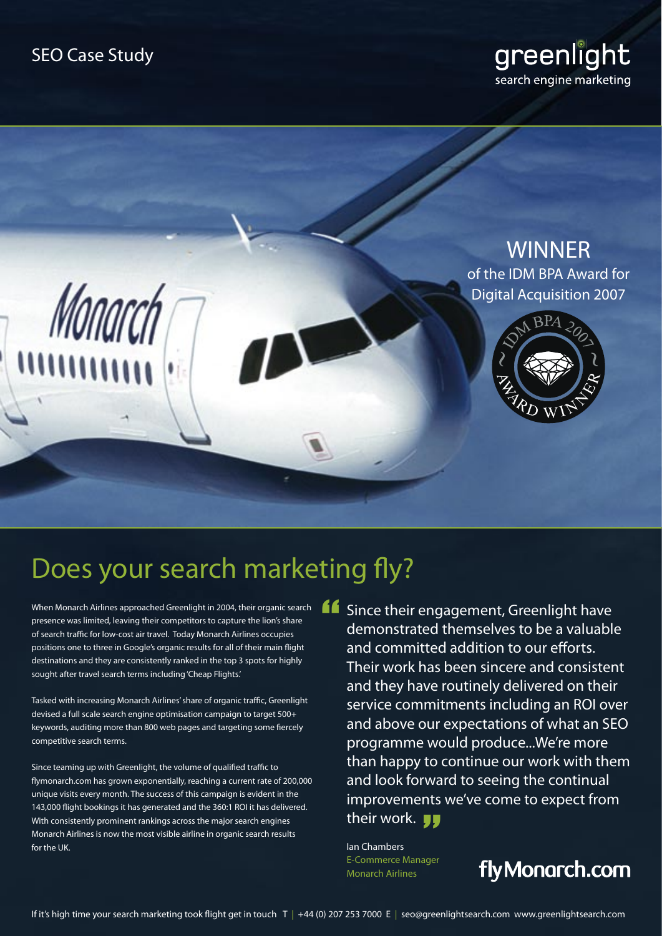## greenlight search engine marketing



# Does your search marketing fly?

When Monarch Airlines approached Greenlight in 2004, their organic search presence was limited, leaving their competitors to capture the lion's share of search traffic for low-cost air travel. Today Monarch Airlines occupies positions one to three in Google's organic results for all of their main flight destinations and they are consistently ranked in the top 3 spots for highly sought after travel search terms including 'Cheap Flights.'

Tasked with increasing Monarch Airlines' share of organic traffic, Greenlight devised a full scale search engine optimisation campaign to target 500+ keywords, auditing more than 800 web pages and targeting some fiercely competitive search terms.

Since teaming up with Greenlight, the volume of qualified traffic to flymonarch.com has grown exponentially, reaching a current rate of 200,000 unique visits every month. The success of this campaign is evident in the 143,000 flight bookings it has generated and the 360:1 ROI it has delivered. With consistently prominent rankings across the major search engines Monarch Airlines is now the most visible airline in organic search results for the UK.

**16** Since their engagement, Greenlight have<br>demonstrated themselves to be a valuabl<br>and committed addition to our efforts demonstrated themselves to be a valuable and committed addition to our efforts. Their work has been sincere and consistent and they have routinely delivered on their service commitments including an ROI over and above our expectations of what an SEO programme would produce...We're more than happy to continue our work with them and look forward to seeing the continual improvements we've come to expect from<br>their work. JJ their work. **JJ** 

Ian Chambers E-Commerce Manager Monarch Airlines